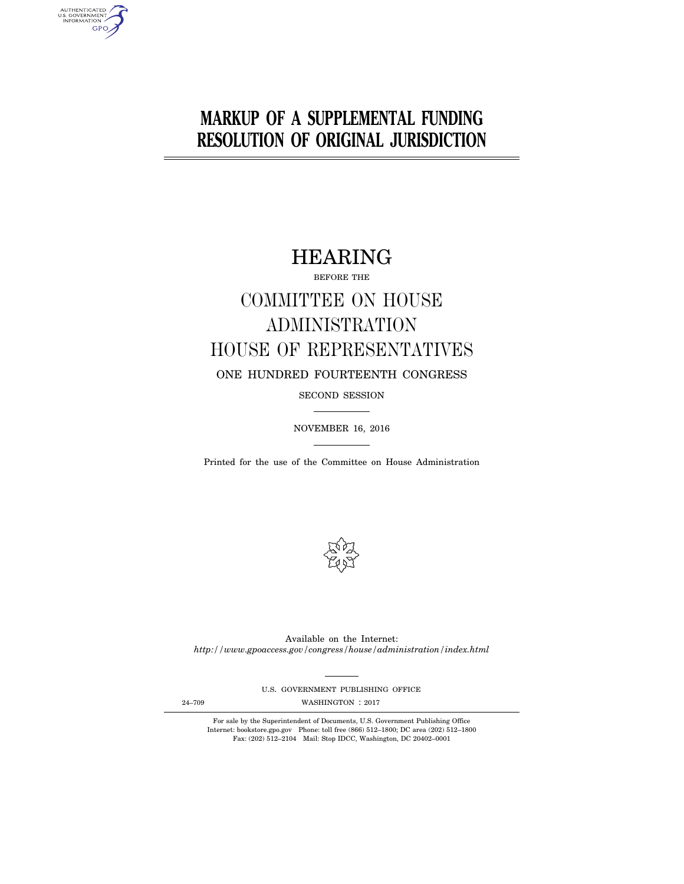## **MARKUP OF A SUPPLEMENTAL FUNDING RESOLUTION OF ORIGINAL JURISDICTION**

## HEARING

BEFORE THE

# COMMITTEE ON HOUSE ADMINISTRATION HOUSE OF REPRESENTATIVES ONE HUNDRED FOURTEENTH CONGRESS

SECOND SESSION

NOVEMBER 16, 2016

Printed for the use of the Committee on House Administration



Available on the Internet: *http://www.gpoaccess.gov/congress/house/administration/index.html* 

U.S. GOVERNMENT PUBLISHING OFFICE

AUTHENTICATED<br>U.S. GOVERNMENT<br>INFORMATION **GPO** 

24-709 WASHINGTON : 2017

For sale by the Superintendent of Documents, U.S. Government Publishing Office Internet: bookstore.gpo.gov Phone: toll free (866) 512–1800; DC area (202) 512–1800 Fax: (202) 512–2104 Mail: Stop IDCC, Washington, DC 20402–0001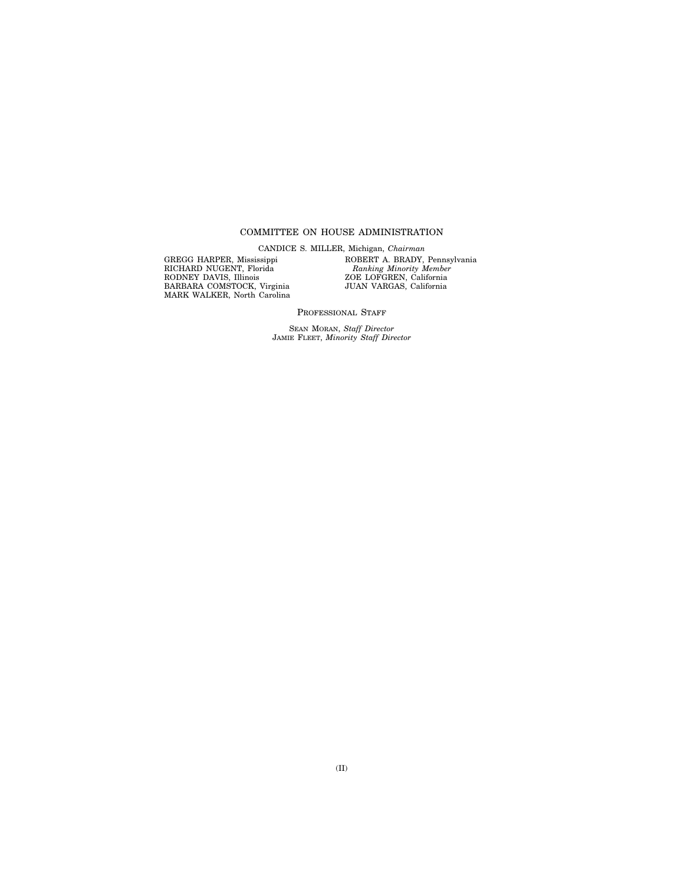## COMMITTEE ON HOUSE ADMINISTRATION

CANDICE S. MILLER, Michigan, *Chairman* 

GREGG HARPER, Mississippi RICHARD NUGENT, Florida RODNEY DAVIS, Illinois BARBARA COMSTOCK, Virginia MARK WALKER, North Carolina ROBERT A. BRADY, Pennsylvania *Ranking Minority Member*  ZOE LOFGREN, California JUAN VARGAS, California

PROFESSIONAL STAFF

SEAN MORAN, *Staff Director*  JAMIE FLEET, *Minority Staff Director*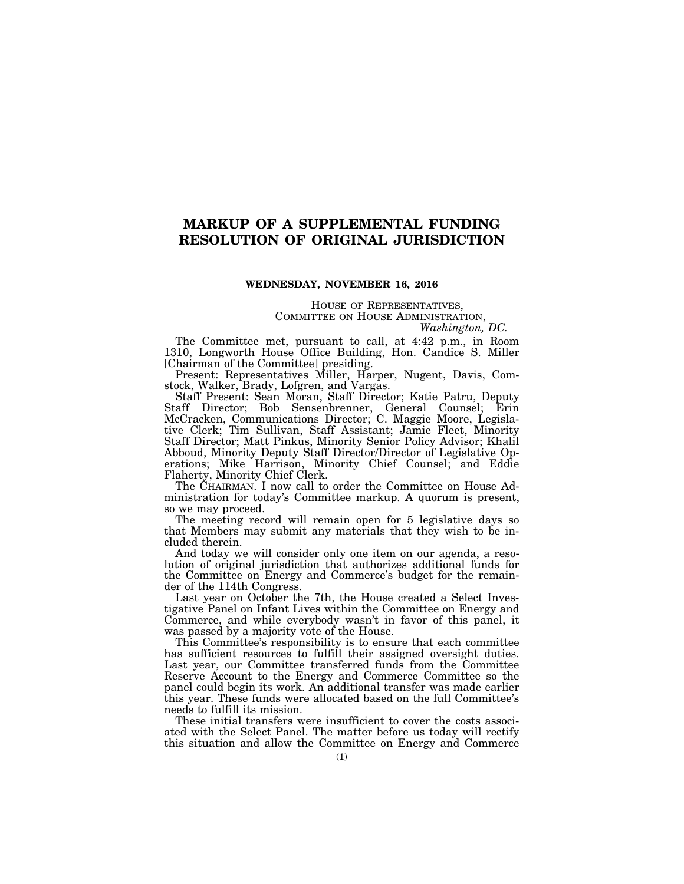## **MARKUP OF A SUPPLEMENTAL FUNDING RESOLUTION OF ORIGINAL JURISDICTION**

### **WEDNESDAY, NOVEMBER 16, 2016**

HOUSE OF REPRESENTATIVES, COMMITTEE ON HOUSE ADMINISTRATION, *Washington, DC.* 

The Committee met, pursuant to call, at 4:42 p.m., in Room 1310, Longworth House Office Building, Hon. Candice S. Miller [Chairman of the Committee] presiding.

Present: Representatives Miller, Harper, Nugent, Davis, Comstock, Walker, Brady, Lofgren, and Vargas.

Staff Present: Sean Moran, Staff Director; Katie Patru, Deputy Staff Director; Bob Sensenbrenner, General Counsel; Erin McCracken, Communications Director; C. Maggie Moore, Legislative Clerk; Tim Sullivan, Staff Assistant; Jamie Fleet, Minority Staff Director; Matt Pinkus, Minority Senior Policy Advisor; Khalil Abboud, Minority Deputy Staff Director/Director of Legislative Operations; Mike Harrison, Minority Chief Counsel; and Eddie Flaherty, Minority Chief Clerk.

The CHAIRMAN. I now call to order the Committee on House Administration for today's Committee markup. A quorum is present, so we may proceed.

The meeting record will remain open for 5 legislative days so that Members may submit any materials that they wish to be included therein.

And today we will consider only one item on our agenda, a resolution of original jurisdiction that authorizes additional funds for the Committee on Energy and Commerce's budget for the remainder of the 114th Congress.

Last year on October the 7th, the House created a Select Investigative Panel on Infant Lives within the Committee on Energy and Commerce, and while everybody wasn't in favor of this panel, it was passed by a majority vote of the House.

This Committee's responsibility is to ensure that each committee has sufficient resources to fulfill their assigned oversight duties. Last year, our Committee transferred funds from the Committee Reserve Account to the Energy and Commerce Committee so the panel could begin its work. An additional transfer was made earlier this year. These funds were allocated based on the full Committee's needs to fulfill its mission.

These initial transfers were insufficient to cover the costs associated with the Select Panel. The matter before us today will rectify this situation and allow the Committee on Energy and Commerce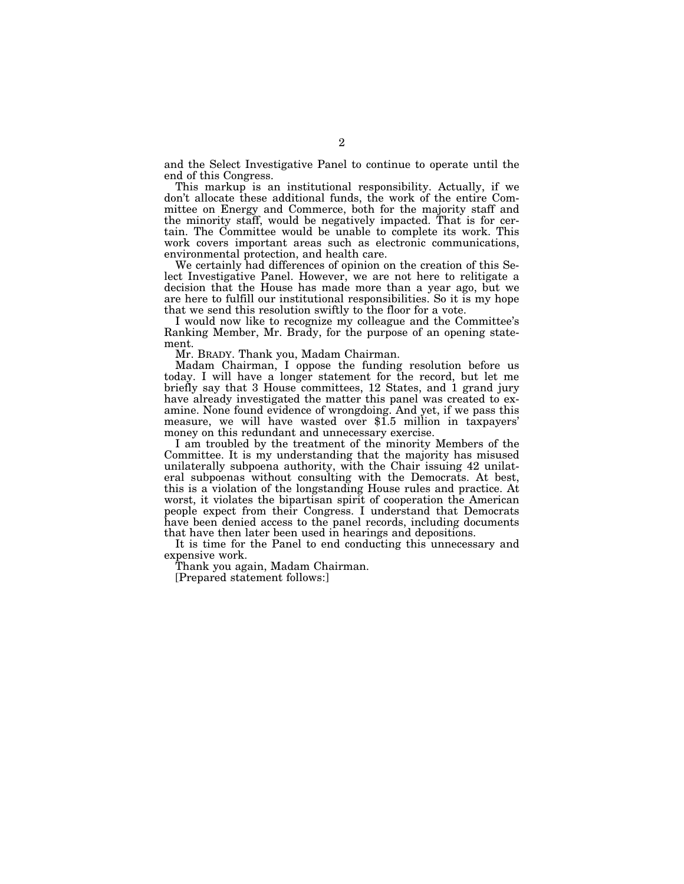and the Select Investigative Panel to continue to operate until the end of this Congress.

This markup is an institutional responsibility. Actually, if we don't allocate these additional funds, the work of the entire Committee on Energy and Commerce, both for the majority staff and the minority staff, would be negatively impacted. That is for certain. The Committee would be unable to complete its work. This work covers important areas such as electronic communications, environmental protection, and health care.

We certainly had differences of opinion on the creation of this Select Investigative Panel. However, we are not here to relitigate a decision that the House has made more than a year ago, but we are here to fulfill our institutional responsibilities. So it is my hope that we send this resolution swiftly to the floor for a vote.

I would now like to recognize my colleague and the Committee's Ranking Member, Mr. Brady, for the purpose of an opening statement.

Mr. BRADY. Thank you, Madam Chairman.

Madam Chairman, I oppose the funding resolution before us today. I will have a longer statement for the record, but let me briefly say that 3 House committees, 12 States, and 1 grand jury have already investigated the matter this panel was created to examine. None found evidence of wrongdoing. And yet, if we pass this measure, we will have wasted over \$1.5 million in taxpayers' money on this redundant and unnecessary exercise.

I am troubled by the treatment of the minority Members of the Committee. It is my understanding that the majority has misused unilaterally subpoena authority, with the Chair issuing 42 unilateral subpoenas without consulting with the Democrats. At best, this is a violation of the longstanding House rules and practice. At worst, it violates the bipartisan spirit of cooperation the American people expect from their Congress. I understand that Democrats have been denied access to the panel records, including documents that have then later been used in hearings and depositions.

It is time for the Panel to end conducting this unnecessary and expensive work.

Thank you again, Madam Chairman.

[Prepared statement follows:]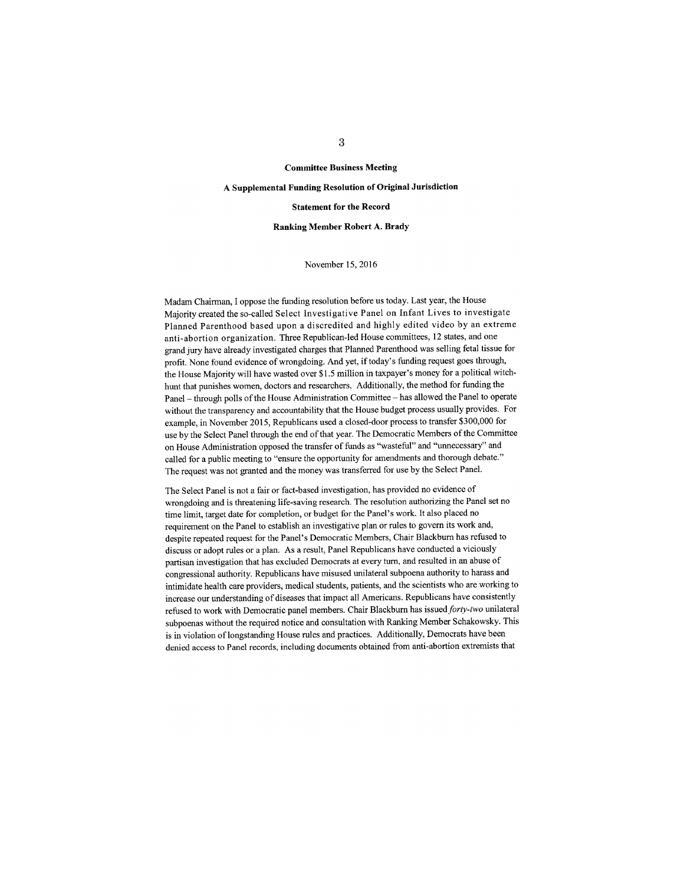#### **Committee Business Meeting**

## A Supplemental Funding Resolution of Original Jurisdiction

#### **Statement for the Record**

#### **Ranking Member Robert A. Brady**

### November 15, 2016

Madam Chairman, I oppose the funding resolution before us today. Last year, the House Majority created the so-called Select Investigative Panel on Infant Lives to investigate Planned Parenthood based upon a discredited and highly edited video by an extreme anti-abortion organization. Three Republican-led House committees, 12 states, and one grand jury have already investigated charges that Planned Parenthood was selling fetal tissue for profit. None found evidence of wrongdoing. And yet, if today's funding request goes through, the House Majority will have wasted over \$1.5 million in taxpayer's money for a political witchhunt that punishes women, doctors and researchers. Additionally, the method for funding the Panel - through polls of the House Administration Committee - has allowed the Panel to operate without the transparency and accountability that the House budget process usually provides. For example, in November 2015, Republicans used a closed-door process to transfer \$300,000 for use by the Select Panel through the end of that year. The Democratic Members of the Committee on House Administration opposed the transfer of funds as "wasteful" and "unnecessary" and called for a public meeting to "ensure the opportunity for amendments and thorough debate." The request was not granted and the money was transferred for use by the Select Panel.

The Select Panel is not a fair or fact-based investigation, has provided no evidence of wrongdoing and is threatening life-saving research. The resolution authorizing the Panel set no time limit, target date for completion, or budget for the Panel's work. It also placed no requirement on the Panel to establish an investigative plan or rules to govern its work and, despite repeated request for the Panel's Democratic Members, Chair Blackburn has refused to discuss or adopt rules or a plan. As a result, Panel Republicans have conducted a viciously partisan investigation that has excluded Democrats at every turn, and resulted in an abuse of congressional authority. Republicans have misused unilateral subpoena authority to harass and intimidate health care providers, medical students, patients, and the scientists who are working to increase our understanding of diseases that impact all Americans. Republicans have consistently refused to work with Democratic panel members. Chair Blackburn has issued forty-two unilateral subpoenas without the required notice and consultation with Ranking Member Schakowsky. This is in violation of longstanding House rules and practices. Additionally, Democrats have been denied access to Panel records, including documents obtained from anti-abortion extremists that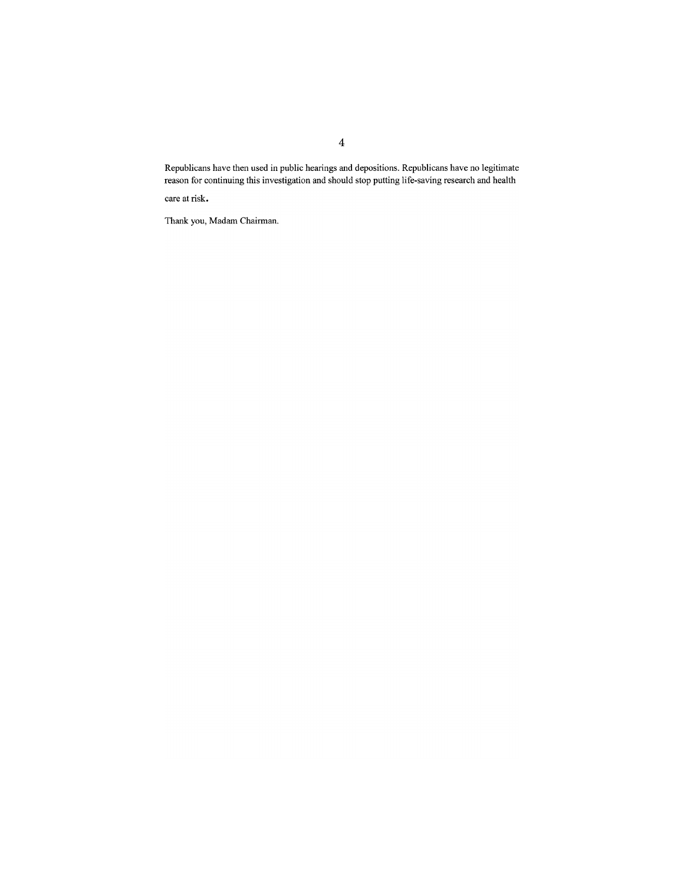Republicans have then used in public hearings and depositions. Republicans have no legitimate reason for continuing this investigation and should stop putting life-saving research and health

care at risk.

Thank you, Madam Chairman.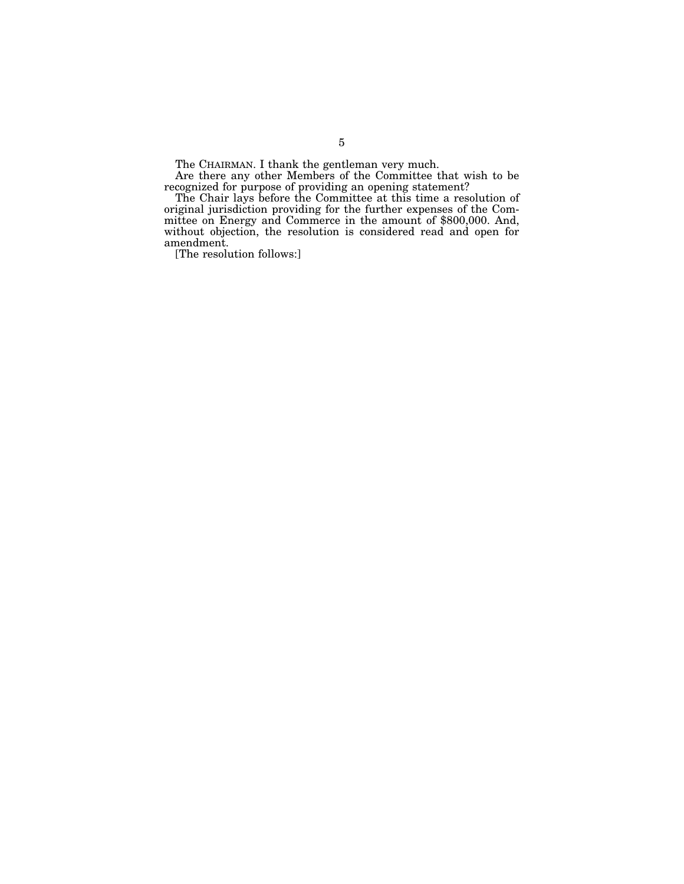The CHAIRMAN. I thank the gentleman very much.

Are there any other Members of the Committee that wish to be recognized for purpose of providing an opening statement?

The Chair lays before the Committee at this time a resolution of original jurisdiction providing for the further expenses of the Committee on Energy and Commerce in the amount of \$800,000. And, without objection, the resolution is considered read and open for amendment.

[The resolution follows:]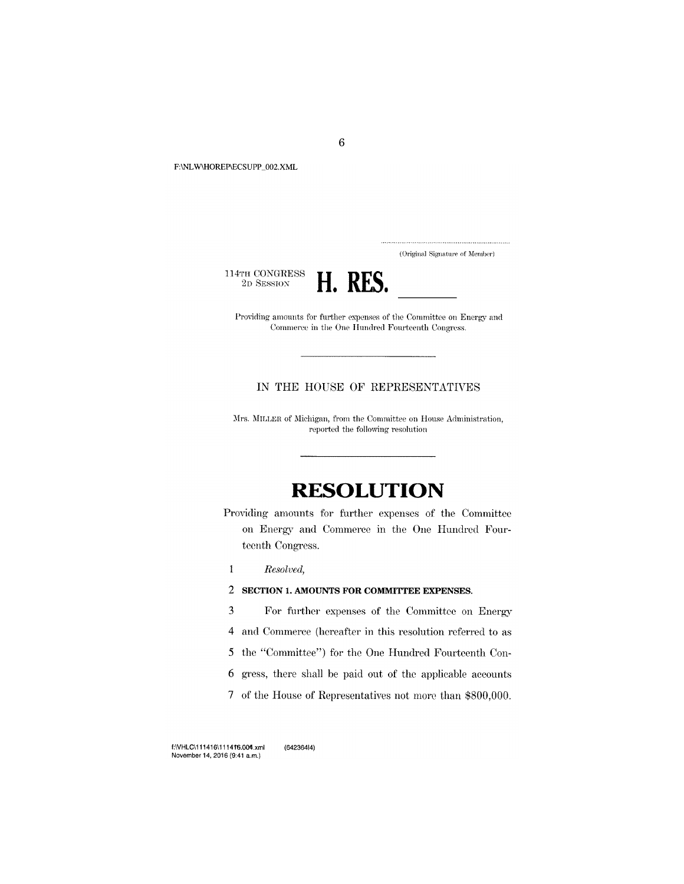F:\NLW\HOREP\ECSUPP\_002.XML

(Original Signature of Member)

114TH CONGRESS  $2\mathrm{D}$  SESSION



Providing amounts for further expenses of the Committee on Energy and Commerce in the One Hundred Fourteenth Congress.

## IN THE HOUSE OF REPRESENTATIVES

Mrs. MILLER of Michigan, from the Committee on House Administration, reported the following resolution

# **RESOLUTION**

Providing amounts for further expenses of the Committee on Energy and Commerce in the One Hundred Fourteenth Congress.

 $\mathbf{1}$ Resolved,

### 2 SECTION 1. AMOUNTS FOR COMMITTEE EXPENSES.

3 For further expenses of the Committee on Energy

 $\overline{4}$ and Commerce (hereafter in this resolution referred to as

5 the "Committee") for the One Hundred Fourteenth Con-

- 6 gress, there shall be paid out of the applicable accounts
- 7 of the House of Representatives not more than \$800,000.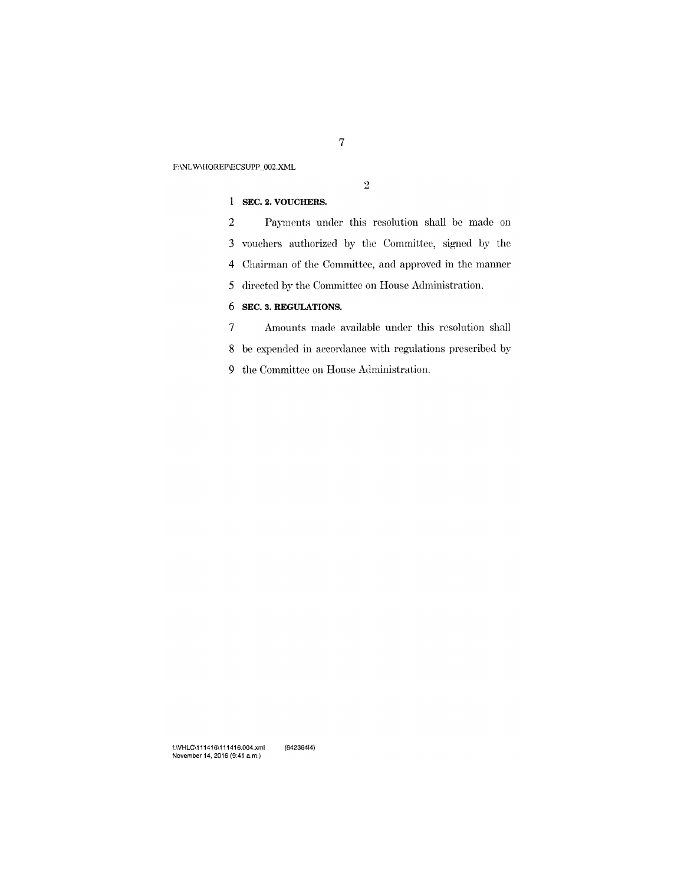F:\NLW\HOREP\ECSUPP\_002.XML

 $\bar{2}$ 

### 1 SEC. 2. VOUCHERS.

 $\overline{2}$ Payments under this resolution shall be made on 3 vouchers authorized by the Committee, signed by the 4 Chairman of the Committee, and approved in the manner 5 directed by the Committee on House Administration. 6 SEC. 3. REGULATIONS.

 $\overline{7}$ Amounts made available under this resolution shall

8 be expended in accordance with regulations prescribed by

9 the Committee on House Administration.

f:\VHLC\111416\111416.004.xml<br>November 14, 2016 (9:41 a.m.)  $(64236414)$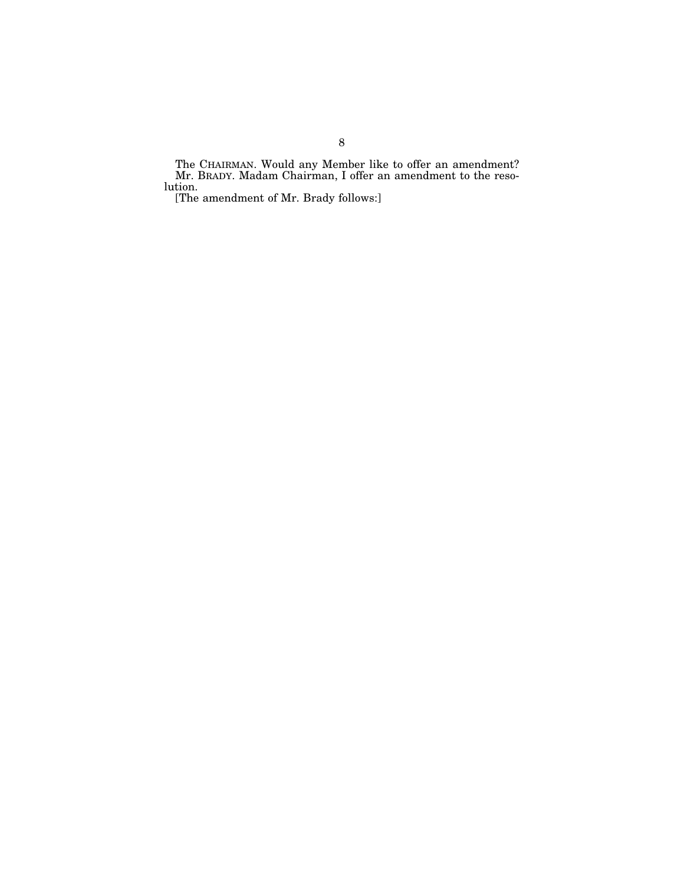The CHAIRMAN. Would any Member like to offer an amendment? Mr. BRADY. Madam Chairman, I offer an amendment to the resolution.

[The amendment of Mr. Brady follows:]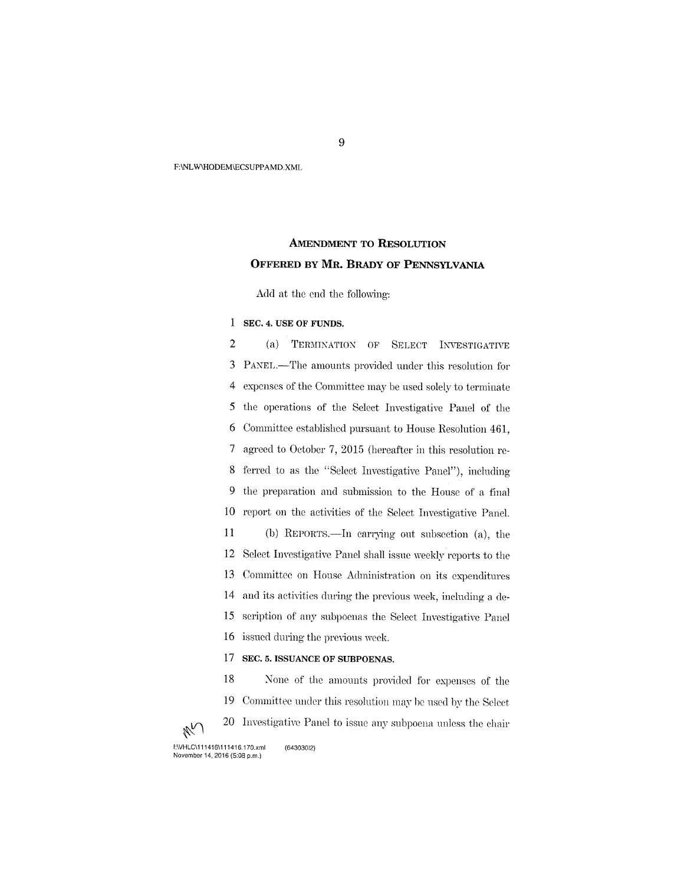F:\NLW\HODEM\ECSUPPAMD.XML

## **AMENDMENT TO RESOLUTION** OFFERED BY MR. BRADY OF PENNSYLVANIA

Add at the end the following:

#### $\mathbf{1}$ SEC. 4. USE OF FUNDS.

 $\overline{2}$ TERMINATION OF SELECT INVESTIGATIVE  $(a)$ 3 PANEL.—The amounts provided under this resolution for  $\overline{4}$ expenses of the Committee may be used solely to terminate 5 the operations of the Select Investigative Panel of the 6 Committee established pursuant to House Resolution 461,  $\boldsymbol{7}$ agreed to October 7, 2015 (hereafter in this resolution referred to as the "Select Investigative Panel"), including 8 9 the preparation and submission to the House of a final  $10<sup>°</sup>$ report on the activities of the Select Investigative Panel.  $11$ (b) REPORTS.—In carrying out subsection (a), the Select Investigative Panel shall issue weekly reports to the 12 13 Committee on House Administration on its expenditures and its activities during the previous week, including a de-14 scription of any subpoenas the Select Investigative Panel 15 16 issued during the previous week.

#### 17 SEC. 5. ISSUANCE OF SUBPOENAS.

18 None of the amounts provided for expenses of the Committee under this resolution may be used by the Select 19 20 Investigative Panel to issue any subpoena unless the chair

f:\VHLC\111416\111416.170.xml  $(64303012)$ November 14, 2016 (5:08 p.m.)

MY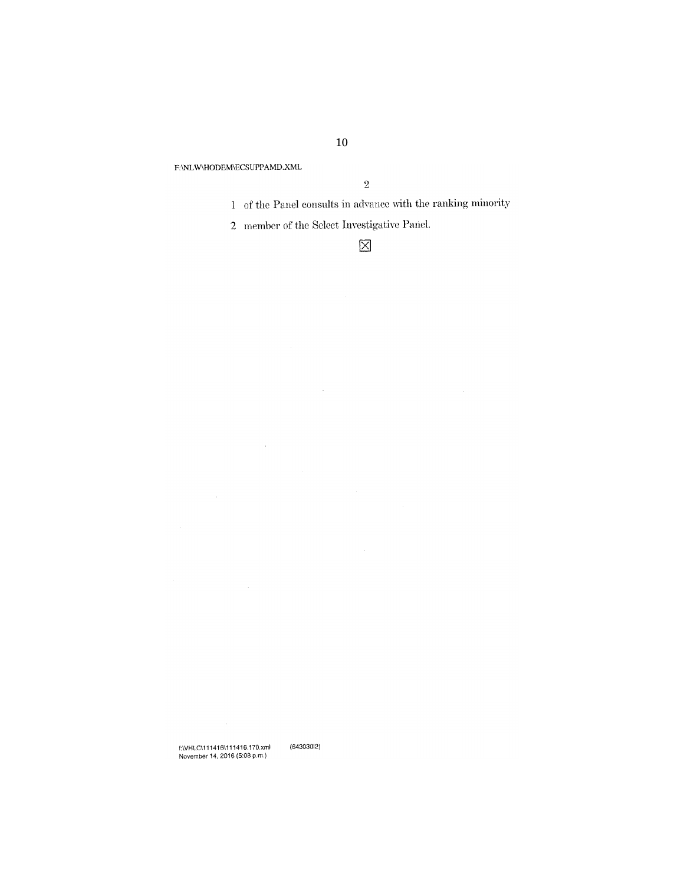F:\NLW\HODEM\ECSUPPAMD.XML

 $\sim$   $\sim$ 

 $\mathcal{L}^{\text{max}}_{\text{max}}$ 

 $\,2\,$ 

1 of the Panel consults in advance with the ranking minority

2 member of the Select Investigative Panel.

 $\boxtimes$ 

 $\hat{\mathcal{A}}$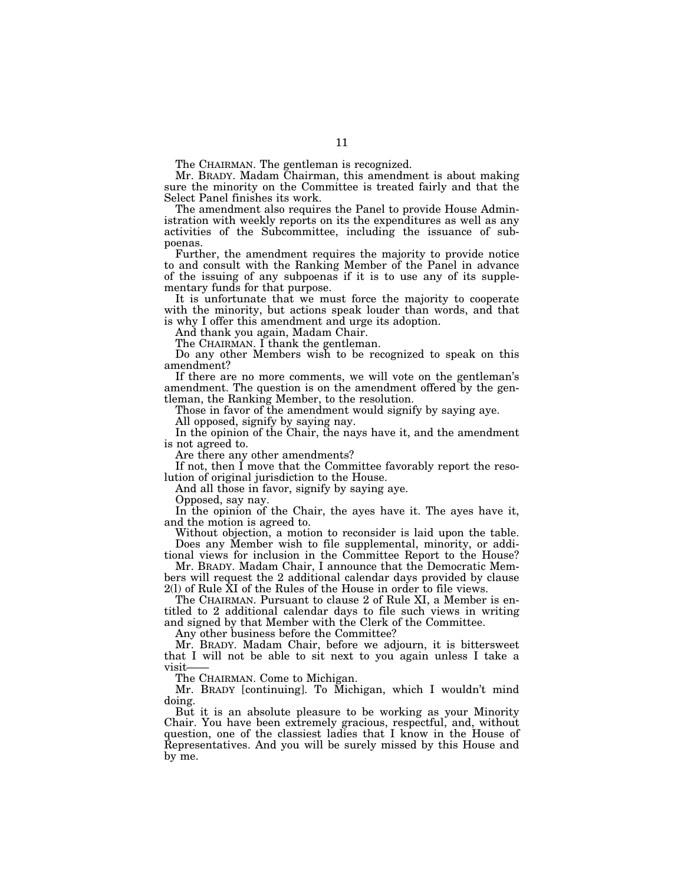The CHAIRMAN. The gentleman is recognized.

Mr. BRADY. Madam Chairman, this amendment is about making sure the minority on the Committee is treated fairly and that the Select Panel finishes its work.

The amendment also requires the Panel to provide House Administration with weekly reports on its the expenditures as well as any activities of the Subcommittee, including the issuance of subpoenas.

Further, the amendment requires the majority to provide notice to and consult with the Ranking Member of the Panel in advance of the issuing of any subpoenas if it is to use any of its supplementary funds for that purpose.

It is unfortunate that we must force the majority to cooperate with the minority, but actions speak louder than words, and that is why I offer this amendment and urge its adoption.

And thank you again, Madam Chair.

The CHAIRMAN. I thank the gentleman.

Do any other Members wish to be recognized to speak on this amendment?

If there are no more comments, we will vote on the gentleman's amendment. The question is on the amendment offered by the gentleman, the Ranking Member, to the resolution.

Those in favor of the amendment would signify by saying aye.

All opposed, signify by saying nay.

In the opinion of the Chair, the nays have it, and the amendment is not agreed to.

Are there any other amendments?

If not, then I move that the Committee favorably report the resolution of original jurisdiction to the House.

And all those in favor, signify by saying aye.

Opposed, say nay.

In the opinion of the Chair, the ayes have it. The ayes have it, and the motion is agreed to.

Without objection, a motion to reconsider is laid upon the table. Does any Member wish to file supplemental, minority, or addi-

tional views for inclusion in the Committee Report to the House? Mr. BRADY. Madam Chair, I announce that the Democratic Members will request the 2 additional calendar days provided by clause

2(l) of Rule XI of the Rules of the House in order to file views.

The CHAIRMAN. Pursuant to clause 2 of Rule XI, a Member is entitled to 2 additional calendar days to file such views in writing and signed by that Member with the Clerk of the Committee.

Any other business before the Committee?

Mr. BRADY. Madam Chair, before we adjourn, it is bittersweet that I will not be able to sit next to you again unless I take a visit-

The CHAIRMAN. Come to Michigan.

Mr. BRADY [continuing]. To Michigan, which I wouldn't mind doing.

But it is an absolute pleasure to be working as your Minority Chair. You have been extremely gracious, respectful, and, without question, one of the classiest ladies that I know in the House of Representatives. And you will be surely missed by this House and by me.